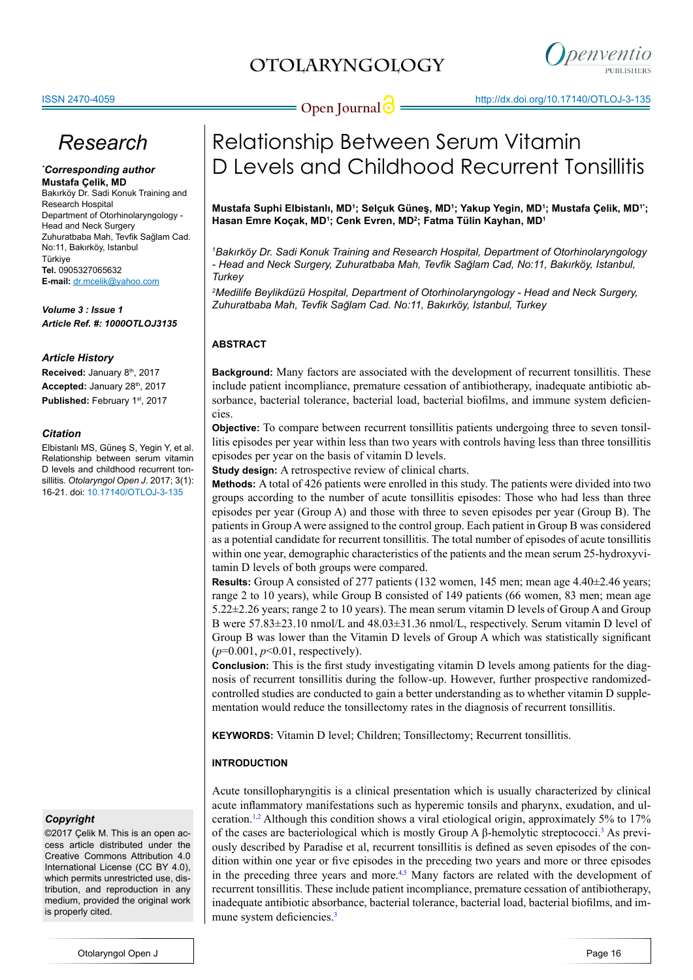

# *Research*

#### *\* Corresponding author* **Mustafa Çelik, MD**

Bakırköy Dr. Sadi Konuk Training and Research Hospital Department of Otorhinolaryngology - Head and Neck Surgery Zuhuratbaba Mah, Tevfik Sağlam Cad. No:11, Bakırköy, Istanbul Türkiye **Tel.** 0905327065632 **E-mail:** dr.mcelik@yahoo.com

*Volume 3 : Issue 1 Article Ref. #: 1000OTLOJ3135*

# *Article History*

Received: January 8<sup>th</sup>, 2017 Accepted: January 28<sup>th</sup>, 2017 Published: February 1st, 2017

# *Citation*

Elbistanlı MS, Güneş S, Yegin Y, et al. Relationship between serum vitamin D levels and childhood recurrent tonsillitis. *Otolaryngol Open J*. 2017; 3(1): 16-21. doi: [10.17140/OTLOJ-3-135](http://dx.doi.org/10.17140/OTLOJ-3-135)

## *Copyright*

©2017 Çelik M. This is an open access article distributed under the Creative Commons Attribution 4.0 International License (CC BY 4.0), which permits unrestricted use, distribution, and reproduction in any medium, provided the original work is properly cited.

# Relationship Between Serum Vitamin D Levels and Childhood Recurrent Tonsillitis

**Mustafa Suphi Elbistanlı, MD<sup>1</sup> ; Selçuk Güneş, MD<sup>1</sup> ; Yakup Yegin, MD<sup>1</sup> ; Mustafa Çelik, MD1\*; Hasan Emre Koçak, MD<sup>1</sup> ; Cenk Evren, MD<sup>2</sup> ; Fatma Tülin Kayhan, MD<sup>1</sup>**

*1 Bakırköy Dr. Sadi Konuk Training and Research Hospital, Department of Otorhinolaryngology - Head and Neck Surgery, Zuhuratbaba Mah, Tevfik Sağlam Cad, No:11, Bakırköy, Istanbul, Turkey*

*2 Medilife Beylikdüzü Hospital, Department of Otorhinolaryngology - Head and Neck Surgery, Zuhuratbaba Mah, Tevfik Sağlam Cad. No:11, Bakırköy, Istanbul, Turkey*

# **ABSTRACT**

**Background:** Many factors are associated with the development of recurrent tonsillitis. These include patient incompliance, premature cessation of antibiotherapy, inadequate antibiotic absorbance, bacterial tolerance, bacterial load, bacterial biofilms, and immune system deficiencies.

**Objective:** To compare between recurrent tonsillitis patients undergoing three to seven tonsillitis episodes per year within less than two years with controls having less than three tonsillitis episodes per year on the basis of vitamin D levels.

**Study design:** A retrospective review of clinical charts.

**Methods:** A total of 426 patients were enrolled in this study. The patients were divided into two groups according to the number of acute tonsillitis episodes: Those who had less than three episodes per year (Group A) and those with three to seven episodes per year (Group B). The patients in Group A were assigned to the control group. Each patient in Group B was considered as a potential candidate for recurrent tonsillitis. The total number of episodes of acute tonsillitis within one year, demographic characteristics of the patients and the mean serum 25-hydroxyvitamin D levels of both groups were compared.

**Results:** Group A consisted of 277 patients (132 women, 145 men; mean age 4.40±2.46 years; range 2 to 10 years), while Group B consisted of 149 patients (66 women, 83 men; mean age 5.22±2.26 years; range 2 to 10 years). The mean serum vitamin D levels of Group A and Group B were 57.83±23.10 nmol/L and 48.03±31.36 nmol/L, respectively. Serum vitamin D level of Group B was lower than the Vitamin D levels of Group A which was statistically significant (*p*=0.001, *p*<0.01, respectively).

**Conclusion:** This is the first study investigating vitamin D levels among patients for the diagnosis of recurrent tonsillitis during the follow-up. However, further prospective randomizedcontrolled studies are conducted to gain a better understanding as to whether vitamin D supplementation would reduce the tonsillectomy rates in the diagnosis of recurrent tonsillitis.

**KEYWORDS:** Vitamin D level; Children; Tonsillectomy; Recurrent tonsillitis.

# **INTRODUCTION**

Acute tonsillopharyngitis is a clinical presentation which is usually characterized by clinical acute inflammatory manifestations such as hyperemic tonsils and pharynx, exudation, and ul-ceration.<sup>[1,2](#page-4-0)</sup> Although this condition shows a viral etiological origin, approximately 5% to 17% of the cases are bacteriological which is mostly Group A β-hemolytic streptococci.[3](#page-4-1) As previously described by Paradise et al, recurrent tonsillitis is defined as seven episodes of the condition within one year or five episodes in the preceding two years and more or three episodes in the preceding three years and more.<sup>4,5</sup> Many factors are related with the development of recurrent tonsillitis. These include patient incompliance, premature cessation of antibiotherapy, inadequate antibiotic absorbance, bacterial tolerance, bacterial load, bacterial biofilms, and im-mune system deficiencies.<sup>[3](#page-4-1)</sup>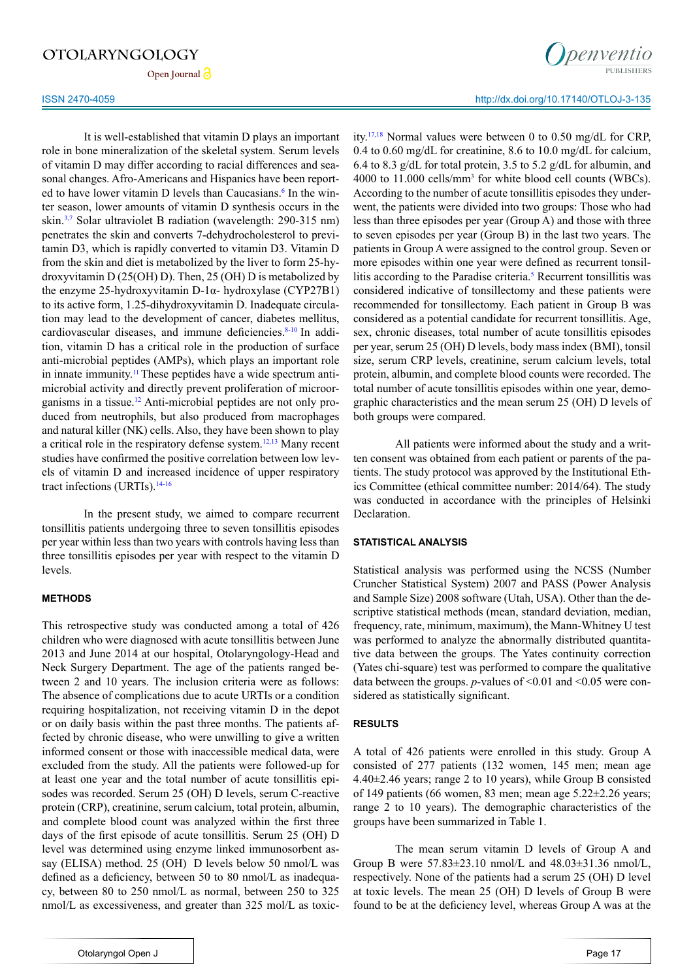Open Journal<sup>2</sup>

It is well-established that vitamin D plays an important role in bone mineralization of the skeletal system. Serum levels of vitamin D may differ according to racial differences and seasonal changes. Afro-Americans and Hispanics have been report-ed to have lower vitamin D levels than Caucasians.<sup>[6](#page-4-3)</sup> In the winter season, lower amounts of vitamin D synthesis occurs in the skin[.3,7](#page-4-1) Solar ultraviolet B radiation (wavelength: 290-315 nm) penetrates the skin and converts 7-dehydrocholesterol to previtamin D3, which is rapidly converted to vitamin D3. Vitamin D from the skin and diet is metabolized by the liver to form 25-hydroxyvitamin D (25(OH) D). Then, 25 (OH) D is metabolized by the enzyme 25-hydroxyvitamin D-1α- hydroxylase (CYP27B1) to its active form, 1.25-dihydroxyvitamin D. Inadequate circulation may lead to the development of cancer, diabetes mellitus, cardiovascular diseases, and immune deficiencies.<sup>[8-10](#page-4-4)</sup> In addition, vitamin D has a critical role in the production of surface anti-microbial peptides (AMPs), which plays an important role in innate immunity.<sup>11</sup> These peptides have a wide spectrum antimicrobial activity and directly prevent proliferation of microorganisms in a tissue.[12](#page-4-6) Anti-microbial peptides are not only produced from neutrophils, but also produced from macrophages and natural killer (NK) cells. Also, they have been shown to play a critical role in the respiratory defense system.<sup>12,13</sup> Many recent studies have confirmed the positive correlation between low levels of vitamin D and increased incidence of upper respiratory tract infections (URTIs).<sup>[14-16](#page-4-7)</sup>

In the present study, we aimed to compare recurrent tonsillitis patients undergoing three to seven tonsillitis episodes per year within less than two years with controls having less than three tonsillitis episodes per year with respect to the vitamin D levels.

## **METHODS**

This retrospective study was conducted among a total of 426 children who were diagnosed with acute tonsillitis between June 2013 and June 2014 at our hospital, Otolaryngology-Head and Neck Surgery Department. The age of the patients ranged between 2 and 10 years. The inclusion criteria were as follows: The absence of complications due to acute URTIs or a condition requiring hospitalization, not receiving vitamin D in the depot or on daily basis within the past three months. The patients affected by chronic disease, who were unwilling to give a written informed consent or those with inaccessible medical data, were excluded from the study. All the patients were followed-up for at least one year and the total number of acute tonsillitis episodes was recorded. Serum 25 (OH) D levels, serum C-reactive protein (CRP), creatinine, serum calcium, total protein, albumin, and complete blood count was analyzed within the first three days of the first episode of acute tonsillitis. Serum 25 (OH) D level was determined using enzyme linked immunosorbent assay (ELISA) method. 25 (OH) D levels below 50 nmol/L was defined as a deficiency, between 50 to 80 nmol/L as inadequacy, between 80 to 250 nmol/L as normal, between 250 to 325 nmol/L as excessiveness, and greater than 325 mol/L as toxic-



## ISSN 2470-4059 http://dx.doi.org/10.17140/OTLOJ-3-135

ity[.17,18](#page-4-8) Normal values were between 0 to 0.50 mg/dL for CRP, 0.4 to 0.60 mg/dL for creatinine, 8.6 to 10.0 mg/dL for calcium, 6.4 to 8.3 g/dL for total protein, 3.5 to 5.2 g/dL for albumin, and 4000 to 11.000 cells/mm3 for white blood cell counts (WBCs). According to the number of acute tonsillitis episodes they underwent, the patients were divided into two groups: Those who had less than three episodes per year (Group A) and those with three to seven episodes per year (Group B) in the last two years. The patients in Group A were assigned to the control group. Seven or more episodes within one year were defined as recurrent tonsillitis according to the Paradise criteria.<sup>5</sup> Recurrent tonsillitis was considered indicative of tonsillectomy and these patients were recommended for tonsillectomy. Each patient in Group B was considered as a potential candidate for recurrent tonsillitis. Age, sex, chronic diseases, total number of acute tonsillitis episodes per year, serum 25 (OH) D levels, body mass index (BMI), tonsil size, serum CRP levels, creatinine, serum calcium levels, total protein, albumin, and complete blood counts were recorded. The total number of acute tonsillitis episodes within one year, demographic characteristics and the mean serum 25 (OH) D levels of both groups were compared.

All patients were informed about the study and a written consent was obtained from each patient or parents of the patients. The study protocol was approved by the Institutional Ethics Committee (ethical committee number: 2014/64). The study was conducted in accordance with the principles of Helsinki Declaration.

## **STATISTICAL ANALYSIS**

Statistical analysis was performed using the NCSS (Number Cruncher Statistical System) 2007 and PASS (Power Analysis and Sample Size) 2008 software (Utah, USA). Other than the descriptive statistical methods (mean, standard deviation, median, frequency, rate, minimum, maximum), the Mann-Whitney U test was performed to analyze the abnormally distributed quantitative data between the groups. The Yates continuity correction (Yates chi-square) test was performed to compare the qualitative data between the groups.  $p$ -values of  $\leq 0.01$  and  $\leq 0.05$  were considered as statistically significant.

#### **RESULTS**

A total of 426 patients were enrolled in this study. Group A consisted of 277 patients (132 women, 145 men; mean age 4.40±2.46 years; range 2 to 10 years), while Group B consisted of 149 patients (66 women, 83 men; mean age 5.22±2.26 years; range 2 to 10 years). The demographic characteristics of the groups have been summarized in Table 1.

The mean serum vitamin D levels of Group A and Group B were 57.83±23.10 nmol/L and 48.03±31.36 nmol/L, respectively. None of the patients had a serum 25 (OH) D level at toxic levels. The mean 25 (OH) D levels of Group B were found to be at the deficiency level, whereas Group A was at the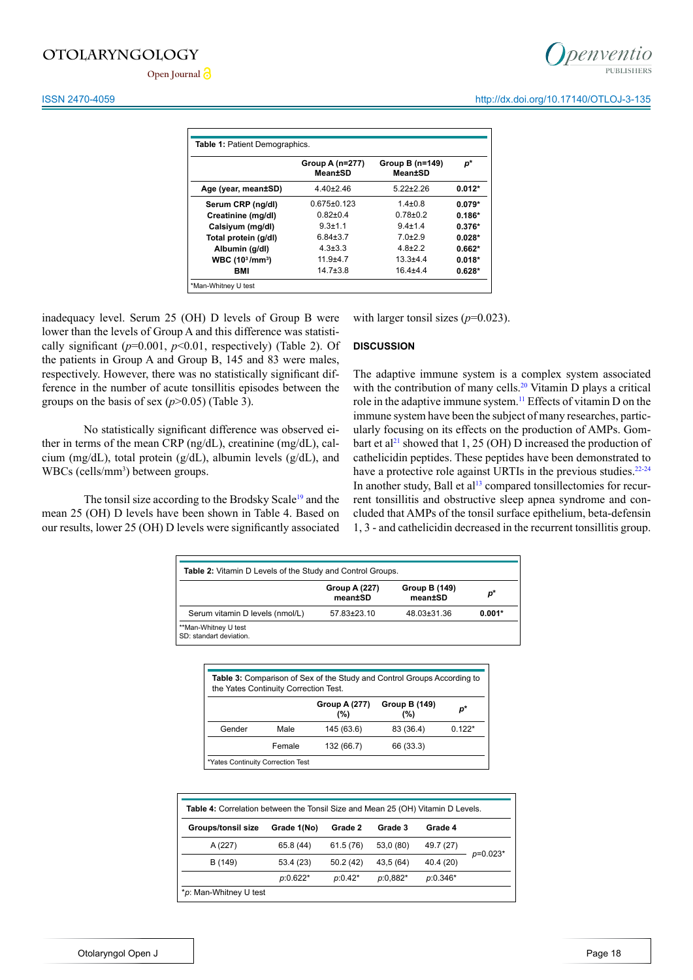Open Journal<sup>2</sup>

|                                         | Group A (n=277)<br><b>Mean±SD</b> | Group B (n=149)<br><b>Mean±SD</b> | p*       |  |
|-----------------------------------------|-----------------------------------|-----------------------------------|----------|--|
| Age (year, mean±SD)                     | $4.40 \pm 2.46$                   | $5.22 \pm 2.26$                   | $0.012*$ |  |
| Serum CRP (ng/dl)                       | $0.675 \pm 0.123$                 | $1.4 \pm 0.8$                     | $0.079*$ |  |
| Creatinine (mg/dl)                      | $0.82{\pm}0.4$                    | $0.78 + 0.2$                      | $0.186*$ |  |
| Calsiyum (mg/dl)                        | $9.3 + 1.1$                       | $9.4 \pm 1.4$                     | $0.376*$ |  |
| Total protein (g/dl)                    | $6.84 \pm 3.7$                    | $7.0 + 2.9$                       | $0.028*$ |  |
| Albumin (g/dl)                          | $4.3 \pm 3.3$                     | $48+22$                           | $0.662*$ |  |
| WBC (10 <sup>3</sup> /mm <sup>3</sup> ) | $11.9 + 4.7$                      | $13.3 + 4.4$                      | $0.018*$ |  |
| <b>BMI</b>                              | $14.7 \pm 3.8$                    | $16.4 + 4.4$                      | $0.628*$ |  |

inadequacy level. Serum 25 (OH) D levels of Group B were lower than the levels of Group A and this difference was statistically significant  $(p=0.001, p<0.01,$  respectively) (Table 2). Of the patients in Group A and Group B, 145 and 83 were males, respectively. However, there was no statistically significant difference in the number of acute tonsillitis episodes between the groups on the basis of sex  $(p>0.05)$  (Table 3).

No statistically significant difference was observed either in terms of the mean CRP (ng/dL), creatinine (mg/dL), calcium (mg/dL), total protein (g/dL), albumin levels (g/dL), and WBCs (cells/mm<sup>3</sup>) between groups.

The tonsil size according to the Brodsky Scale<sup>19</sup> and the mean 25 (OH) D levels have been shown in Table 4. Based on our results, lower 25 (OH) D levels were significantly associated with larger tonsil sizes ( $p=0.023$ ).

#### **DISCUSSION**

The adaptive immune system is a complex system associated with the contribution of many cells.<sup>20</sup> Vitamin D plays a critical role in the adaptive immune system.<sup>[11](#page-4-5)</sup> Effects of vitamin D on the immune system have been the subject of many researches, particularly focusing on its effects on the production of AMPs. Gombart et al<sup>21</sup> showed that 1, 25 (OH) D increased the production of cathelicidin peptides. These peptides have been demonstrated to have a protective role against URTIs in the previous studies.<sup>[22-24](#page-5-0)</sup> In another study, Ball et  $al<sup>13</sup>$  $al<sup>13</sup>$  $al<sup>13</sup>$  compared tonsillectomies for recurrent tonsillitis and obstructive sleep apnea syndrome and concluded that AMPs of the tonsil surface epithelium, beta-defensin 1, 3 - and cathelicidin decreased in the recurrent tonsillitis group.

| <b>Table 2:</b> Vitamin D Levels of the Study and Control Groups. |                          |                          |          |
|-------------------------------------------------------------------|--------------------------|--------------------------|----------|
|                                                                   | Group A (227)<br>mean±SD | Group B (149)<br>mean±SD | p*       |
| Serum vitamin D levels (nmol/L)                                   | 57.83±23.10              | 48.03±31.36              | $0.001*$ |
| **Man-Whitney U test<br>SD: standart deviation.                   |                          |                          |          |

| the Yates Continuity Correction Test. |        |                             |                                 |          |
|---------------------------------------|--------|-----------------------------|---------------------------------|----------|
|                                       |        | <b>Group A (277)</b><br>(%) | <b>Group B (149)</b><br>$(\% )$ | p*       |
| Gender                                | Male   | 145 (63.6)                  | 83 (36.4)                       | $0.122*$ |
|                                       | Female | 132 (66.7)                  | 66 (33.3)                       |          |

| <b>Table 4:</b> Correlation between the Tonsil Size and Mean 25 (OH) Vitamin D Levels. |             |           |            |            |            |
|----------------------------------------------------------------------------------------|-------------|-----------|------------|------------|------------|
| <b>Groups/tonsil size</b>                                                              | Grade 1(No) | Grade 2   | Grade 3    | Grade 4    |            |
| A (227)                                                                                | 65.8 (44)   | 61.5 (76) | 53,0 (80)  | 49.7 (27)  |            |
| B (149)                                                                                | 53.4(23)    | 50.2(42)  | 43,5 (64)  | 40.4 (20)  | $p=0.023*$ |
|                                                                                        | $p:0.622*$  | $p:0.42*$ | $p:0.882*$ | $p:0.346*$ |            |
| *p: Man-Whitney U test                                                                 |             |           |            |            |            |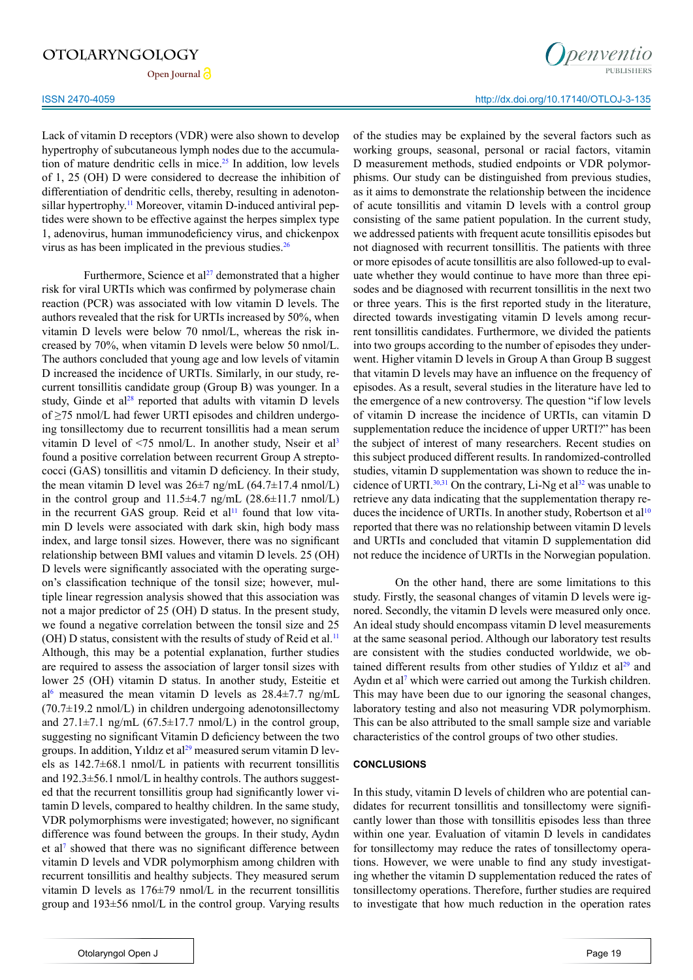**Open Journal**

Lack of vitamin D receptors (VDR) were also shown to develop hypertrophy of subcutaneous lymph nodes due to the accumulation of mature dendritic cells in mice.<sup>25</sup> In addition, low levels of 1, 25 (OH) D were considered to decrease the inhibition of differentiation of dendritic cells, thereby, resulting in adenotonsillar hypertrophy.<sup>11</sup> Moreover, vitamin D-induced antiviral peptides were shown to be effective against the herpes simplex type 1, adenovirus, human immunodeficiency virus, and chickenpox virus as has been implicated in the previous studies[.26](#page-5-2)

Furthermore, Science et al<sup>27</sup> demonstrated that a higher risk for viral URTIs which was confirmed by polymerase chain reaction (PCR) was associated with low vitamin D levels. The authors revealed that the risk for URTIs increased by 50%, when vitamin D levels were below 70 nmol/L, whereas the risk increased by 70%, when vitamin D levels were below 50 nmol/L. The authors concluded that young age and low levels of vitamin D increased the incidence of URTIs. Similarly, in our study, recurrent tonsillitis candidate group (Group B) was younger. In a study, Ginde et  $a^{128}$  reported that adults with vitamin D levels of ≥75 nmol/L had fewer URTI episodes and children undergoing tonsillectomy due to recurrent tonsillitis had a mean serum vitamin D level of  $\leq$ 75 nmol/L. In another study, Nseir et al<sup>[3](#page-4-1)</sup> found a positive correlation between recurrent Group A streptococci (GAS) tonsillitis and vitamin D deficiency. In their study, the mean vitamin D level was  $26\pm7$  ng/mL  $(64.7\pm17.4 \text{ nmol/L})$ in the control group and  $11.5\pm4.7$  ng/mL (28.6 $\pm11.7$  nmol/L) in the recurrent GAS group. Reid et  $al<sup>11</sup>$  $al<sup>11</sup>$  $al<sup>11</sup>$  found that low vitamin D levels were associated with dark skin, high body mass index, and large tonsil sizes. However, there was no significant relationship between BMI values and vitamin D levels. 25 (OH) D levels were significantly associated with the operating surgeon's classification technique of the tonsil size; however, multiple linear regression analysis showed that this association was not a major predictor of 25 (OH) D status. In the present study, we found a negative correlation between the tonsil size and 25 (OH) D status, consistent with the results of study of Reid et al.<sup>11</sup> Although, this may be a potential explanation, further studies are required to assess the association of larger tonsil sizes with lower 25 (OH) vitamin D status. In another study, Esteitie et al<sup>6</sup> measured the mean vitamin D levels as  $28.4 \pm 7.7$  ng/mL  $(70.7\pm19.2 \text{ nmol/L})$  in children undergoing adenotonsillectomy and  $27.1\pm7.1$  ng/mL (67.5 $\pm$ 17.7 nmol/L) in the control group, suggesting no significant Vitamin D deficiency between the two groups. In addition, Yıldız et al<sup>29</sup> measured serum vitamin D levels as  $142.7\pm68.1$  nmol/L in patients with recurrent tonsillitis and 192.3±56.1 nmol/L in healthy controls. The authors suggested that the recurrent tonsillitis group had significantly lower vitamin D levels, compared to healthy children. In the same study, VDR polymorphisms were investigated; however, no significant difference was found between the groups. In their study, Aydın et al<sup>[7](#page-4-14)</sup> showed that there was no significant difference between vitamin D levels and VDR polymorphism among children with recurrent tonsillitis and healthy subjects. They measured serum vitamin D levels as 176±79 nmol/L in the recurrent tonsillitis group and 193±56 nmol/L in the control group. Varying results

## ISSN 2470-4059 http://dx.doi.org/10.17140/OTLOJ-3-135

of the studies may be explained by the several factors such as working groups, seasonal, personal or racial factors, vitamin D measurement methods, studied endpoints or VDR polymorphisms. Our study can be distinguished from previous studies, as it aims to demonstrate the relationship between the incidence of acute tonsillitis and vitamin D levels with a control group consisting of the same patient population. In the current study, we addressed patients with frequent acute tonsillitis episodes but not diagnosed with recurrent tonsillitis. The patients with three or more episodes of acute tonsillitis are also followed-up to evaluate whether they would continue to have more than three episodes and be diagnosed with recurrent tonsillitis in the next two or three years. This is the first reported study in the literature, directed towards investigating vitamin D levels among recurrent tonsillitis candidates. Furthermore, we divided the patients into two groups according to the number of episodes they underwent. Higher vitamin D levels in Group A than Group B suggest that vitamin D levels may have an influence on the frequency of episodes. As a result, several studies in the literature have led to the emergence of a new controversy. The question "if low levels of vitamin D increase the incidence of URTIs, can vitamin D supplementation reduce the incidence of upper URTI?" has been the subject of interest of many researchers. Recent studies on this subject produced different results. In randomized-controlled studies, vitamin D supplementation was shown to reduce the incidence of URTI. $30,31$  On the contrary, Li-Ng et al $32$  was unable to retrieve any data indicating that the supplementation therapy reduces the incidence of URTIs. In another study, Robertson et  $al<sup>10</sup>$ reported that there was no relationship between vitamin D levels and URTIs and concluded that vitamin D supplementation did not reduce the incidence of URTIs in the Norwegian population.

On the other hand, there are some limitations to this study. Firstly, the seasonal changes of vitamin D levels were ignored. Secondly, the vitamin D levels were measured only once. An ideal study should encompass vitamin D level measurements at the same seasonal period. Although our laboratory test results are consistent with the studies conducted worldwide, we ob-tained different results from other studies of Yıldız et al<sup>[29](#page-5-5)</sup> and Aydın et al<sup>[7](#page-4-14)</sup> which were carried out among the Turkish children. This may have been due to our ignoring the seasonal changes, laboratory testing and also not measuring VDR polymorphism. This can be also attributed to the small sample size and variable characteristics of the control groups of two other studies.

## **CONCLUSIONS**

In this study, vitamin D levels of children who are potential candidates for recurrent tonsillitis and tonsillectomy were significantly lower than those with tonsillitis episodes less than three within one year. Evaluation of vitamin D levels in candidates for tonsillectomy may reduce the rates of tonsillectomy operations. However, we were unable to find any study investigating whether the vitamin D supplementation reduced the rates of tonsillectomy operations. Therefore, further studies are required to investigate that how much reduction in the operation rates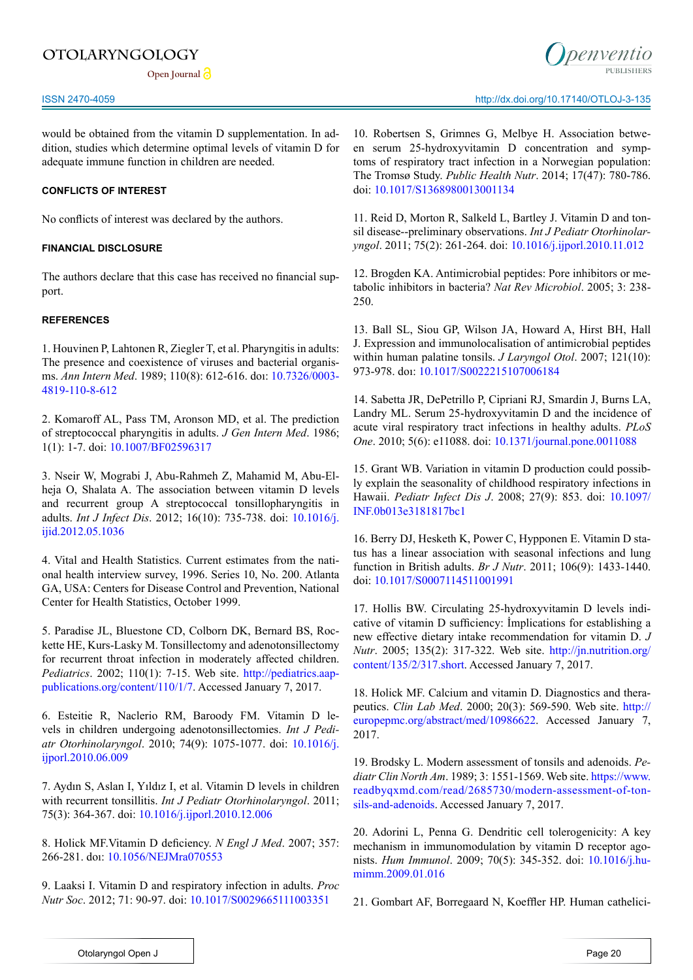Open Journal<sup>2</sup>

would be obtained from the vitamin D supplementation. In addition, studies which determine optimal levels of vitamin D for adequate immune function in children are needed.

# **CONFLICTS OF INTEREST**

No conflicts of interest was declared by the authors.

# **FINANCIAL DISCLOSURE**

The authors declare that this case has received no financial support.

## **REFERENCES**

<span id="page-4-0"></span>1. Houvinen P, Lahtonen R, Ziegler T, et al. Pharyngitis in adults: The presence and coexistence of viruses and bacterial organisms. *Ann Intern Med*. 1989; 110(8): 612-616. doı: [10.7326/0003-](http://annals.org/aim/article/703043/pharyngitis-adults-presence-coexistence-viruses-bacterial-organisms) [4819-110-8-612](http://annals.org/aim/article/703043/pharyngitis-adults-presence-coexistence-viruses-bacterial-organisms)

2. Komaroff AL, Pass TM, Aronson MD, et al. The prediction of streptococcal pharyngitis in adults. *J Gen Intern Med*. 1986; 1(1): 1-7. doi: [10.1007/BF02596317](http://link.springer.com/article/10.1007/BF02596317)

<span id="page-4-1"></span>3. Nseir W, Mograbi J, Abu-Rahmeh Z, Mahamid M, Abu-Elheja O, Shalata A. The association between vitamin D levels and recurrent group A streptococcal tonsillopharyngitis in adults. *Int J Infect Dis*. 2012; 16(10): 735-738. doi: [10.1016/j.](http://www.ijidonline.com/article/S1201-9712%2812%2901189-7/abstract) [ijid.2012.05.1036](http://www.ijidonline.com/article/S1201-9712%2812%2901189-7/abstract)

<span id="page-4-2"></span>4. Vital and Health Statistics. Current estimates from the national health interview survey, 1996. Series 10, No. 200. Atlanta GA, USA: Centers for Disease Control and Prevention, National Center for Health Statistics, October 1999.

<span id="page-4-9"></span>5. Paradise JL, Bluestone CD, Colborn DK, Bernard BS, Rockette HE, Kurs-Lasky M. Tonsillectomy and adenotonsillectomy for recurrent throat infection in moderately affected children. *Pediatrics*. 2002; 110(1): 7-15. Web site. [http://pediatrics.aap](http://pediatrics.aappublications.org/content/110/1/7)[publications.org/content/110/1/7.](http://pediatrics.aappublications.org/content/110/1/7) Accessed January 7, 2017.

<span id="page-4-3"></span>6. Esteitie R, Naclerio RM, Baroody FM. Vitamin D levels in children undergoing adenotonsillectomies. *Int J Pediatr Otorhinolaryngol*. 2010; 74(9): 1075-1077. doi: [10.1016/j.](http://www.ijporlonline.com/article/S0165-5876%2810%2900296-X/abstract) [ijporl.2010.06.009](http://www.ijporlonline.com/article/S0165-5876%2810%2900296-X/abstract)

<span id="page-4-14"></span>7. Aydın S, Aslan I, Yıldız I, et al. Vitamin D levels in children with recurrent tonsillitis. *Int J Pediatr Otorhinolaryngol*. 2011; 75(3): 364-367. doi: [10.1016/j.ijporl.2010.12.006](http://www.ijporlonline.com/article/S0165-5876%2810%2900578-1/abstract)

<span id="page-4-4"></span>8. Holick MF.Vitamin D deficiency. *N Engl J Med*. 2007; 357: 266-281. doı: [10.1056/NEJMra070553](http://www.nejm.org/doi/full/10.1056/NEJMra070553)

9. Laaksi I. Vitamin D and respiratory infection in adults. *Proc Nutr Soc*. 2012; 71: 90-97. doi: [10.1017/S0029665111003351](https://www.cambridge.org/core/services/aop-cambridge-core/content/view/S0029665111003351)

ISSN 2470-4059 http://dx.doi.org/10.17140/OTLOJ-3-135

<span id="page-4-15"></span>10. Robertsen S, Grimnes G, Melbye H. Association between serum 25-hydroxyvitamin D concentration and symptoms of respiratory tract infection in a Norwegian population: The Tromsø Study. *Public Health Nutr*. 2014; 17(47): 780-786. doi: [10.1017/S1368980013001134](https://www.cambridge.org/core/services/aop-cambridge-core/content/view/S1368980013001134)

<span id="page-4-5"></span>11. Reid D, Morton R, Salkeld L, Bartley J. Vitamin D and tonsil disease--preliminary observations. *Int J Pediatr Otorhinolaryngol*. 2011; 75(2): 261-264. doi: [10.1016/j.ijporl.2010.11.012](http://www.ijporlonline.com/article/S0165-5876%2810%2900535-5/abstract)

<span id="page-4-6"></span>12. Brogden KA. Antimicrobial peptides: Pore inhibitors or metabolic inhibitors in bacteria? *Nat Rev Microbiol*. 2005; 3: 238- 250.

<span id="page-4-13"></span>13. Ball SL, Siou GP, Wilson JA, Howard A, Hirst BH, Hall J. Expression and immunolocalisation of antimicrobial peptides within human palatine tonsils. *J Laryngol Otol*. 2007; 121(10): 973-978. doı: [10.1017/S0022215107006184](https://www.cambridge.org/core/journals/journal-of-laryngology-and-otology/article/div-classtitleexpression-and-immunolocalisation-of-antimicrobial-peptides-within-human-palatine-tonsilsdiv/2F90A303D79C3A8976BAA945659B6981)

<span id="page-4-7"></span>14. Sabetta JR, DePetrillo P, Cipriani RJ, Smardin J, Burns LA, Landry ML. Serum 25-hydroxyvitamin D and the incidence of acute viral respiratory tract infections in healthy adults. *PLoS One*. 2010; 5(6): e11088. doi: [10.1371/journal.pone.0011088](http://journals.plos.org/plosone/article%3Fid%3D10.1371/journal.pone.0011088)

15. Grant WB. Variation in vitamin D production could possibly explain the seasonality of childhood respiratory infections in Hawaii. *Pediatr Infect Dis J*. 2008; 27(9): 853. doi: [10.1097/](http://journals.lww.com/pidj/Citation/2008/09000/Variations_in_Vitamin_D_Production_Could_Possibly.23.aspx) [INF.0b013e3181817bc1](http://journals.lww.com/pidj/Citation/2008/09000/Variations_in_Vitamin_D_Production_Could_Possibly.23.aspx)

16. Berry DJ, Hesketh K, Power C, Hypponen E. Vitamin D status has a linear association with seasonal infections and lung function in British adults. *Br J Nutr*. 2011; 106(9): 1433-1440. doi: [10.1017/S0007114511001991](https://www.cambridge.org/core/journals/british-journal-of-nutrition/article/div-classtitlevitamin-d-status-has-a-linear-association-with-seasonal-infections-and-lung-function-in-british-adultsdiv/1BB18F6DED43D7E4B7032F58BE58BF95)

<span id="page-4-8"></span>17. Hollis BW. Circulating 25-hydroxyvitamin D levels indicative of vitamin D sufficiency: İmplications for establishing a new effective dietary intake recommendation for vitamin D. *J Nutr*. 2005; 135(2): 317-322. Web site. [http://jn.nutrition.org/](http://jn.nutrition.org/content/135/2/317.short) [content/135/2/317.short.](http://jn.nutrition.org/content/135/2/317.short) Accessed January 7, 2017.

18. Holick MF. Calcium and vitamin D. Diagnostics and therapeutics. *Clin Lab Med*. 2000; 20(3): 569-590. Web site. [http://](http://europepmc.org/abstract/med/10986622) [europepmc.org/abstract/med/10986622](http://europepmc.org/abstract/med/10986622). Accessed January 7, 2017.

<span id="page-4-10"></span>19. Brodsky L. Modern assessment of tonsils and adenoids. *Pediatr Clin North Am*. 1989; 3: 1551-1569. Web site. [https://www.](%20https://www.readbyqxmd.com/read/2685730/modern-assessment-of-tonsils-and-adenoids) [readbyqxmd.com/read/2685730/modern-assessment-of-ton](%20https://www.readbyqxmd.com/read/2685730/modern-assessment-of-tonsils-and-adenoids)[sils-and-adenoids.](%20https://www.readbyqxmd.com/read/2685730/modern-assessment-of-tonsils-and-adenoids) Accessed January 7, 2017.

<span id="page-4-11"></span>20. Adorini L, Penna G. Dendritic cell tolerogenicity: A key mechanism in immunomodulation by vitamin D receptor agonists. *Hum Immunol*. 2009; 70(5): 345-352. doi: [10.1016/j.hu](http://www.sciencedirect.com/science/article/pii/S0198885909000214)[mimm.2009.01.016](http://www.sciencedirect.com/science/article/pii/S0198885909000214)

<span id="page-4-12"></span>21. Gombart AF, Borregaard N, Koeffler HP. Human cathelici-